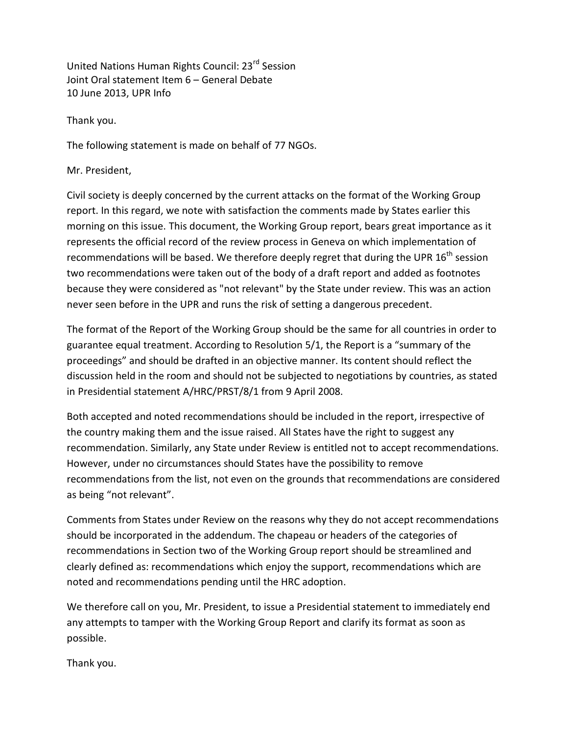United Nations Human Rights Council: 23rd Session Joint Oral statement Item 6 – General Debate 10 June 2013, UPR Info

Thank you.

The following statement is made on behalf of 77 NGOs.

Mr. President,

Civil society is deeply concerned by the current attacks on the format of the Working Group report. In this regard, we note with satisfaction the comments made by States earlier this morning on this issue. This document, the Working Group report, bears great importance as it represents the official record of the review process in Geneva on which implementation of recommendations will be based. We therefore deeply regret that during the UPR 16<sup>th</sup> session two recommendations were taken out of the body of a draft report and added as footnotes because they were considered as "not relevant" by the State under review. This was an action never seen before in the UPR and runs the risk of setting a dangerous precedent.

The format of the Report of the Working Group should be the same for all countries in order to guarantee equal treatment. According to Resolution 5/1, the Report is a "summary of the proceedings" and should be drafted in an objective manner. Its content should reflect the discussion held in the room and should not be subjected to negotiations by countries, as stated in Presidential statement A/HRC/PRST/8/1 from 9 April 2008.

Both accepted and noted recommendations should be included in the report, irrespective of the country making them and the issue raised. All States have the right to suggest any recommendation. Similarly, any State under Review is entitled not to accept recommendations. However, under no circumstances should States have the possibility to remove recommendations from the list, not even on the grounds that recommendations are considered as being "not relevant".

Comments from States under Review on the reasons why they do not accept recommendations should be incorporated in the addendum. The chapeau or headers of the categories of recommendations in Section two of the Working Group report should be streamlined and clearly defined as: recommendations which enjoy the support, recommendations which are noted and recommendations pending until the HRC adoption.

We therefore call on you, Mr. President, to issue a Presidential statement to immediately end any attempts to tamper with the Working Group Report and clarify its format as soon as possible.

Thank you.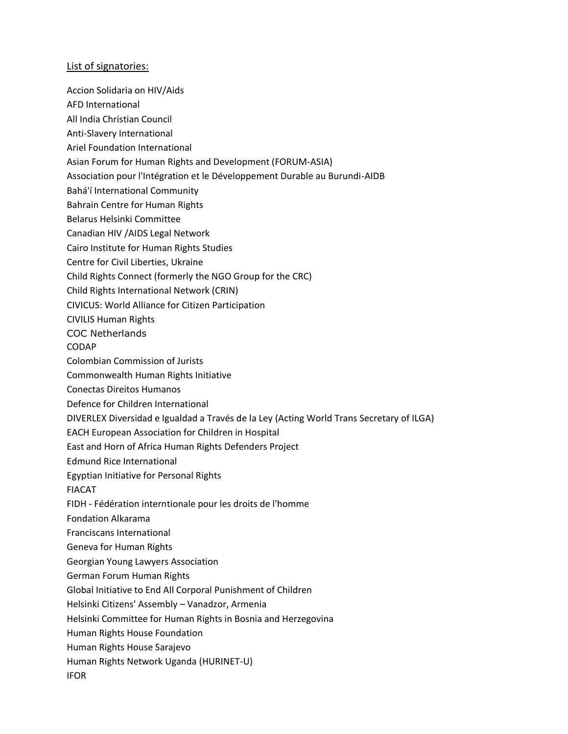## List of signatories:

- Accion Solidaria on HIV/Aids
- AFD International
- All India Christian Council
- Anti-Slavery International
- Ariel Foundation International
- Asian Forum for Human Rights and Development (FORUM-ASIA)
- Association pour l'Intégration et le Développement Durable au Burundi-AIDB
- Bahá'í International Community
- Bahrain Centre for Human Rights
- Belarus Helsinki Committee
- Canadian HIV /AIDS Legal Network
- Cairo Institute for Human Rights Studies
- Centre for Civil Liberties, Ukraine
- Child Rights Connect (formerly the NGO Group for the CRC)
- Child Rights International Network (CRIN)
- CIVICUS: World Alliance for Citizen Participation
- CIVILIS Human Rights
- COC Netherlands
- CODAP
- Colombian Commission of Jurists
- Commonwealth Human Rights Initiative
- Conectas Direitos Humanos
- Defence for Children International
- DIVERLEX Diversidad e Igualdad a Través de la Ley (Acting World Trans Secretary of ILGA)
- EACH European Association for Children in Hospital
- East and Horn of Africa Human Rights Defenders Project
- Edmund Rice International
- Egyptian Initiative for Personal Rights
- FIACAT
- FIDH Fédération interntionale pour les droits de l'homme
- Fondation Alkarama
- Franciscans International
- Geneva for Human Rights
- Georgian Young Lawyers Association
- German Forum Human Rights
- Global Initiative to End All Corporal Punishment of Children
- Helsinki Citizens' Assembly Vanadzor, Armenia
- Helsinki Committee for Human Rights in Bosnia and Herzegovina
- Human Rights House Foundation
- Human Rights House Sarajevo
- Human Rights Network Uganda (HURINET-U)
- IFOR